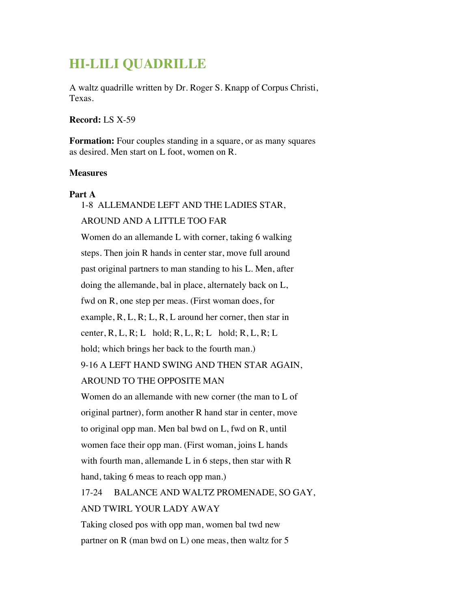# **HI-LILI QUADRILLE**

A waltz quadrille written by Dr. Roger S. Knapp of Corpus Christi, Texas.

#### **Record:** LS X-59

**Formation:** Four couples standing in a square, or as many squares as desired. Men start on L foot, women on R.

#### **Measures**

#### **Part A**

1-8 ALLEMANDE LEFT AND THE LADIES STAR, AROUND AND A LITTLE TOO FAR

Women do an allemande L with corner, taking 6 walking steps. Then join R hands in center star, move full around past original partners to man standing to his L. Men, after doing the allemande, bal in place, alternately back on L, fwd on R, one step per meas. (First woman does, for example,  $R, L, R; L, R, L$  around her corner, then star in center, R, L, R; L hold; R, L, R; L hold; R, L, R; L hold; which brings her back to the fourth man.) 9-16 A LEFT HAND SWING AND THEN STAR AGAIN,

### AROUND TO THE OPPOSITE MAN

Women do an allemande with new corner (the man to L of original partner), form another R hand star in center, move to original opp man. Men bal bwd on L, fwd on R, until women face their opp man. (First woman, joins L hands with fourth man, allemande L in 6 steps, then star with R hand, taking 6 meas to reach opp man.)

17-24 BALANCE AND WALTZ PROMENADE, SO GAY, AND TWIRL YOUR LADY AWAY

Taking closed pos with opp man, women bal twd new partner on R (man bwd on L) one meas, then waltz for 5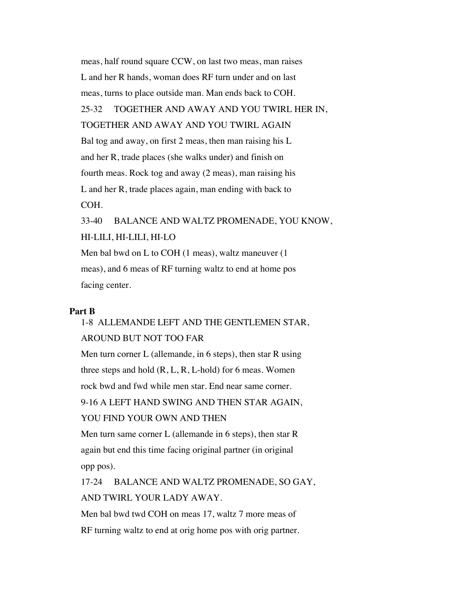meas, half round square CCW, on last two meas, man raises L and her R hands, woman does RF turn under and on last meas, turns to place outside man. Man ends back to COH. 25-32 TOGETHER AND AWAY AND YOU TWIRL HER IN, TOGETHER AND AWAY AND YOU TWIRL AGAIN Bal tog and away, on first 2 meas, then man raising his L and her R, trade places (she walks under) and finish on fourth meas. Rock tog and away (2 meas), man raising his L and her R, trade places again, man ending with back to COH. 33-40 BALANCE AND WALTZ PROMENADE, YOU KNOW, HI-LILI, HI-LILI, HI-LO

Men bal bwd on L to COH (1 meas), waltz maneuver (1 meas), and 6 meas of RF turning waltz to end at home pos facing center.

#### **Part B**

## 1-8 ALLEMANDE LEFT AND THE GENTLEMEN STAR, AROUND BUT NOT TOO FAR

Men turn corner L (allemande, in 6 steps), then star R using three steps and hold  $(R, L, R, L$ -hold) for 6 meas. Women rock bwd and fwd while men star. End near same corner. 9-16 A LEFT HAND SWING AND THEN STAR AGAIN, YOU FIND YOUR OWN AND THEN

Men turn same corner L (allemande in 6 steps), then star R again but end this time facing original partner (in original opp pos).

17-24 BALANCE AND WALTZ PROMENADE, SO GAY, AND TWIRL YOUR LADY AWAY.

Men bal bwd twd COH on meas 17, waltz 7 more meas of RF turning waltz to end at orig home pos with orig partner.